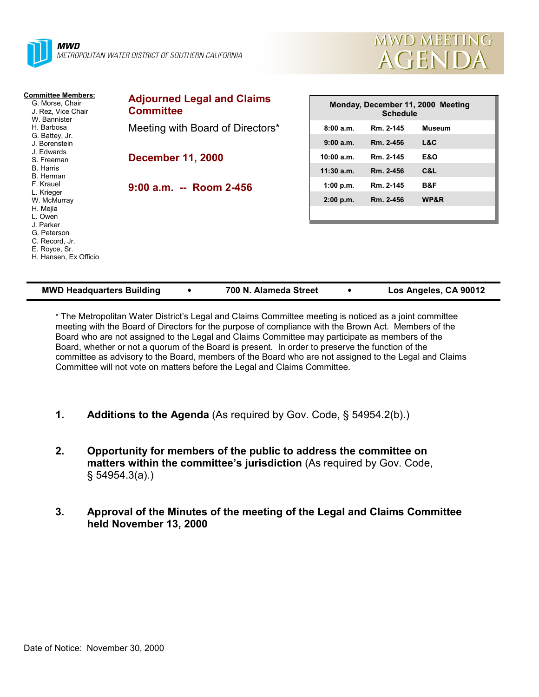



| <b>Committee Members:</b><br>G. Morse, Chair<br>J. Rez. Vice Chair<br>W. Bannister   | <b>Adjourned Legal and Claims</b><br><b>Committee</b> |              | <b>Schedule</b> | Monday, December 11, 2000 Meeting |
|--------------------------------------------------------------------------------------|-------------------------------------------------------|--------------|-----------------|-----------------------------------|
| H. Barbosa                                                                           | Meeting with Board of Directors*                      | 8:00a.m.     | Rm. 2-145       | <b>Museum</b>                     |
| G. Battey, Jr.<br>J. Borenstein                                                      |                                                       | 9:00 a.m.    | Rm. 2-456       | L&C                               |
| J. Edwards<br>S. Freeman                                                             | <b>December 11, 2000</b>                              | 10:00 a.m.   | Rm. 2-145       | <b>E&amp;O</b>                    |
| <b>B.</b> Harris<br>B. Herman                                                        |                                                       | $11:30$ a.m. | Rm. 2-456       | C&L                               |
| F. Krauel                                                                            | $9:00$ a.m. -- Room 2-456                             | 1:00 p.m.    | Rm. 2-145       | B&F                               |
| L. Krieger<br>W. McMurray<br>H. Mejia<br>L. Owen                                     |                                                       | 2:00 p.m.    | Rm. 2-456       | WP&R                              |
| J. Parker<br>G. Peterson<br>C. Record, Jr.<br>E. Royce, Sr.<br>H. Hansen, Ex Officio |                                                       |              |                 |                                   |

| <b>MWD Headquarters Building</b> |  | 700 N. Alameda Street |  | Los Angeles, CA 90012 |
|----------------------------------|--|-----------------------|--|-----------------------|
|----------------------------------|--|-----------------------|--|-----------------------|

\* The Metropolitan Water District's Legal and Claims Committee meeting is noticed as a joint committee meeting with the Board of Directors for the purpose of compliance with the Brown Act. Members of the Board who are not assigned to the Legal and Claims Committee may participate as members of the Board, whether or not a quorum of the Board is present. In order to preserve the function of the committee as advisory to the Board, members of the Board who are not assigned to the Legal and Claims Committee will not vote on matters before the Legal and Claims Committee.

- **1. Additions to the Agenda** (As required by Gov. Code, § 54954.2(b).)
- **2. Opportunity for members of the public to address the committee on matters within the committee's jurisdiction** (As required by Gov. Code, § 54954.3(a).)

#### **3. Approval of the Minutes of the meeting of the Legal and Claims Committee held November 13, 2000**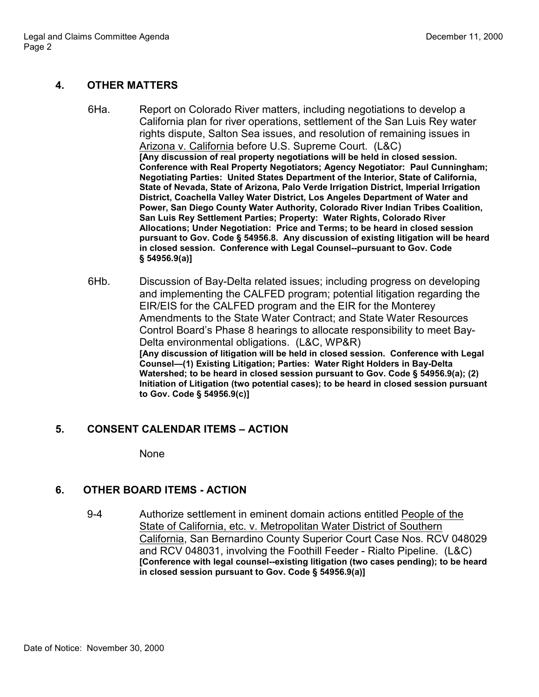## **4. OTHER MATTERS**

- 6Ha. Report on Colorado River matters, including negotiations to develop a California plan for river operations, settlement of the San Luis Rey water rights dispute, Salton Sea issues, and resolution of remaining issues in Arizona v. California before U.S. Supreme Court. (L&C) **[Any discussion of real property negotiations will be held in closed session. Conference with Real Property Negotiators; Agency Negotiator: Paul Cunningham; Negotiating Parties: United States Department of the Interior, State of California, State of Nevada, State of Arizona, Palo Verde Irrigation District, Imperial Irrigation District, Coachella Valley Water District, Los Angeles Department of Water and Power, San Diego County Water Authority, Colorado River Indian Tribes Coalition, San Luis Rey Settlement Parties; Property: Water Rights, Colorado River Allocations; Under Negotiation: Price and Terms; to be heard in closed session pursuant to Gov. Code § 54956.8. Any discussion of existing litigation will be heard in closed session. Conference with Legal Counsel--pursuant to Gov. Code § 54956.9(a)]**
- 6Hb. Discussion of Bay-Delta related issues; including progress on developing and implementing the CALFED program; potential litigation regarding the EIR/EIS for the CALFED program and the EIR for the Monterey Amendments to the State Water Contract; and State Water Resources Control Board's Phase 8 hearings to allocate responsibility to meet Bay-Delta environmental obligations. (L&C, WP&R) **[Any discussion of litigation will be held in closed session. Conference with Legal Counsel—(1) Existing Litigation; Parties: Water Right Holders in Bay-Delta Watershed; to be heard in closed session pursuant to Gov. Code § 54956.9(a); (2) Initiation of Litigation (two potential cases); to be heard in closed session pursuant to Gov. Code § 54956.9(c)]**

## **5. CONSENT CALENDAR ITEMS – ACTION**

None

## **6. OTHER BOARD ITEMS - ACTION**

9-4 Authorize settlement in eminent domain actions entitled People of the State of California, etc. v. Metropolitan Water District of Southern California, San Bernardino County Superior Court Case Nos. RCV 048029 and RCV 048031, involving the Foothill Feeder - Rialto Pipeline. (L&C) **[Conference with legal counsel--existing litigation (two cases pending); to be heard in closed session pursuant to Gov. Code § 54956.9(a)]**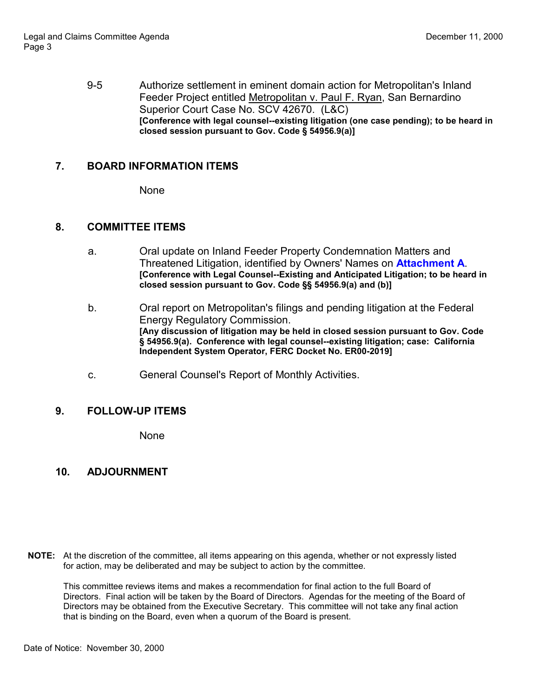9-5 Authorize settlement in eminent domain action for Metropolitan's Inland Feeder Project entitled Metropolitan v. Paul F. Ryan, San Bernardino Superior Court Case No. SCV 42670. (L&C) **[Conference with legal counsel--existing litigation (one case pending); to be heard in closed session pursuant to Gov. Code § 54956.9(a)]**

# **7. BOARD INFORMATION ITEMS**

**None** 

#### **8. COMMITTEE ITEMS**

- a. Oral update on Inland Feeder Property Condemnation Matters and Threatened Litigation, identified by Owners' Names on **Attachment A**. **[Conference with Legal Counsel--Existing and Anticipated Litigation; to be heard in closed session pursuant to Gov. Code §§ 54956.9(a) and (b)]**
- b. Oral report on Metropolitan's filings and pending litigation at the Federal Energy Regulatory Commission. **[Any discussion of litigation may be held in closed session pursuant to Gov. Code § 54956.9(a). Conference with legal counsel--existing litigation; case: California Independent System Operator, FERC Docket No. ER00-2019]**
- c. General Counsel's Report of Monthly Activities.

## **9. FOLLOW-UP ITEMS**

**None** 

# **10. ADJOURNMENT**

**NOTE:** At the discretion of the committee, all items appearing on this agenda, whether or not expressly listed for action, may be deliberated and may be subject to action by the committee.

This committee reviews items and makes a recommendation for final action to the full Board of Directors. Final action will be taken by the Board of Directors. Agendas for the meeting of the Board of Directors may be obtained from the Executive Secretary. This committee will not take any final action that is binding on the Board, even when a quorum of the Board is present.